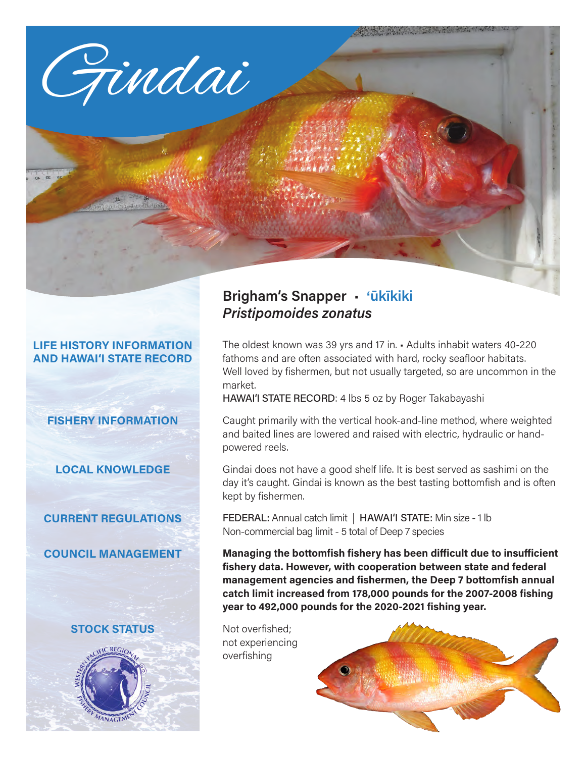

#### **LIFE HISTORY INFORMATION AND HAWAI'I STATE RECORD**

# **FISHERY INFORMATION**

**LOCAL KNOWLEDGE**

# **CURRENT REGULATIONS**

**COUNCIL MANAGEMENT**

#### **STOCK STATUS**



# **Brigham's Snapper** • '**ūkīkiki** *Pristipomoides zonatus*

The oldest known was 39 yrs and 17 in. • Adults inhabit waters 40-220 fathoms and are often associated with hard, rocky seafloor habitats. Well loved by fishermen, but not usually targeted, so are uncommon in the market.

HAWAI'I STATE RECORD: 4 lbs 5 oz by Roger Takabayashi

Caught primarily with the vertical hook-and-line method, where weighted and baited lines are lowered and raised with electric, hydraulic or handpowered reels.

Gindai does not have a good shelf life. It is best served as sashimi on the day it's caught. Gindai is known as the best tasting bottomfish and is often kept by fishermen.

FEDERAL: Annual catch limit | HAWAI'I STATE: Min size - 1 lb Non-commercial bag limit - 5 total of Deep 7 species

**Managing the bottomfish fishery has been difficult due to insufficient fishery data. However, with cooperation between state and federal management agencies and fishermen, the Deep 7 bottomfish annual catch limit increased from 178,000 pounds for the 2007-2008 fishing year to 492,000 pounds for the 2020-2021 fishing year.**

Not overfished; not experiencing overfishing